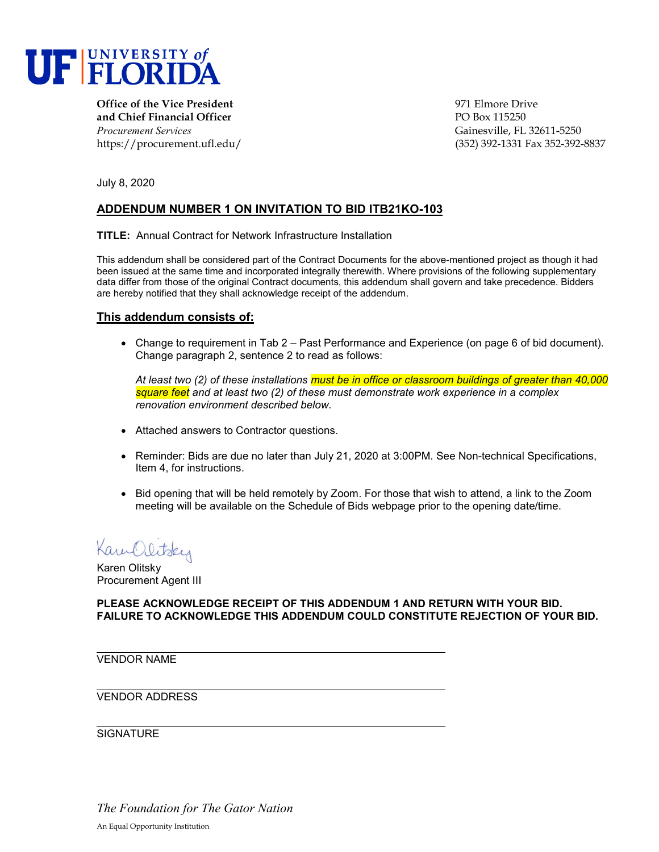

**Office of the Vice President** entertainment of the Vice President of the Second 1971 Elmore Drive **and Chief Financial Officer** PO Box 115250 *Procurement Services* Gainesville, FL 32611-5250

https://procurement.ufl.edu/ (352) 392-1331 Fax 352-392-8837

July 8, 2020

## **ADDENDUM NUMBER 1 ON INVITATION TO BID ITB21KO-103**

**TITLE:** Annual Contract for Network Infrastructure Installation

This addendum shall be considered part of the Contract Documents for the above-mentioned project as though it had been issued at the same time and incorporated integrally therewith. Where provisions of the following supplementary data differ from those of the original Contract documents, this addendum shall govern and take precedence. Bidders are hereby notified that they shall acknowledge receipt of the addendum.

## **This addendum consists of:**

• Change to requirement in Tab 2 – Past Performance and Experience (on page 6 of bid document). Change paragraph 2, sentence 2 to read as follows:

*At least two (2) of these installations must be in office or classroom buildings of greater than 40,000 square feet and at least two (2) of these must demonstrate work experience in a complex renovation environment described below.*

- Attached answers to Contractor questions.
- Reminder: Bids are due no later than July 21, 2020 at 3:00PM. See Non-technical Specifications, Item 4, for instructions.
- Bid opening that will be held remotely by Zoom. For those that wish to attend, a link to the Zoom meeting will be available on the Schedule of Bids webpage prior to the opening date/time.

Kam Olitsky

Karen Olitsky Procurement Agent III

**PLEASE ACKNOWLEDGE RECEIPT OF THIS ADDENDUM 1 AND RETURN WITH YOUR BID. FAILURE TO ACKNOWLEDGE THIS ADDENDUM COULD CONSTITUTE REJECTION OF YOUR BID.**

VENDOR NAME

VENDOR ADDRESS

**SIGNATURE** 

*The Foundation for The Gator Nation* An Equal Opportunity Institution